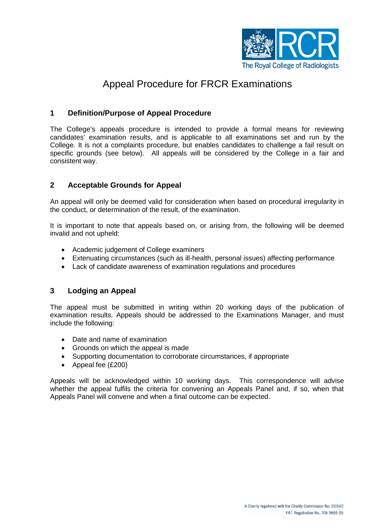

# Appeal Procedure for FRCR Examinations

### **1 Definition/Purpose of Appeal Procedure**

The College's appeals procedure is intended to provide a formal means for reviewing candidates' examination results, and is applicable to all examinations set and run by the College. It is not a complaints procedure, but enables candidates to challenge a fail result on specific grounds (see below). All appeals will be considered by the College in a fair and consistent way.

#### **2 Acceptable Grounds for Appeal**

An appeal will only be deemed valid for consideration when based on procedural irregularity in the conduct, or determination of the result, of the examination.

It is important to note that appeals based on, or arising from, the following will be deemed invalid and not upheld:

- Academic judgement of College examiners
- Extenuating circumstances (such as ill-health, personal issues) affecting performance
- Lack of candidate awareness of examination regulations and procedures

#### **3 Lodging an Appeal**

The appeal must be submitted in writing within 20 working days of the publication of examination results. Appeals should be addressed to the Examinations Manager, and must include the following:

- Date and name of examination
- Grounds on which the appeal is made
- Supporting documentation to corroborate circumstances, if appropriate
- Appeal fee (£200)

Appeals will be acknowledged within 10 working days. This correspondence will advise whether the appeal fulfils the criteria for convening an Appeals Panel and, if so, when that Appeals Panel will convene and when a final outcome can be expected.